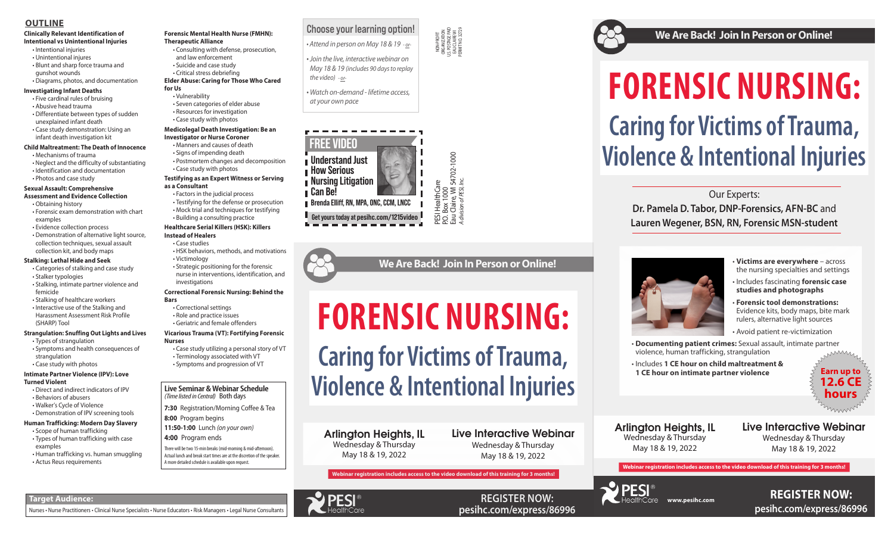**REGISTER NOW: pesihc.com/express/86996**









# **Clinically Relevant Identification of**

- **Intentional vs Unintentional Injuries**
- Intentional injuries • Unintentional injures
- 
- Blunt and sharp force trauma and gunshot wounds
- Diagrams, photos, and documentation

## **Investigating Infant Deaths**

- Five cardinal rules of bruising
- Abusive head trauma • Differentiate between types of sudden
- unexplained infant death
- Case study demonstration: Using an infant death investigation kit

### **Child Maltreatment: The Death of Innocence**

- Mechanisms of trauma
- Neglect and the difficulty of substantiating
- Identification and documentation
- Photos and case study

### **Sexual Assault: Comprehensive Assessment and Evidence Collection**

- Obtaining history
- Forensic exam demonstration with chart examples
- Evidence collection process
- Demonstration of alternative light source, collection techniques, sexual assault collection kit, and body maps

## **Stalking: Lethal Hide and Seek**

- Categories of stalking and case study • Stalker typologies
- Stalking, intimate partner violence and femicide
- Stalking of healthcare workers
- Interactive use of the Stalking and Harassment Assessment Risk Profile (SHARP) Tool

## **Strangulation: Snuffing Out Lights and Lives**

- Types of strangulation
- Symptoms and health consequences of strangulation
- Case study with photos

### **Intimate Partner Violence (IPV): Love Turned Violent**

- Direct and indirect indicators of IPV • Behaviors of abusers
- Walker's Cycle of Violence
- Demonstration of IPV screening tools
- **Human Trafficking: Modern Day Slavery**
- Scope of human trafficking
- Types of human trafficking with case examples
- Human trafficking vs. human smuggling
- Actus Reus requirements
- **Victims are everywhere** across the nursing specialties and settings
- Includes fascinating **forensic case studies and photographs**
- **Forensic tool demonstrations:** Evidence kits, body maps, bite mark rulers, alternative light sources
- Avoid patient re-victimization
- **Documenting patient crimes:** Sexual assault, intimate partner violence, human trafficking, strangulation
- Includes **1 CE hour on child maltreatment & 1 CE hour on intimate partner violence**  $\leq$  **Earn up to**

# **Forensic Mental Health Nurse (FMHN): Therapeutic Alliance**

- Consulting with defense, prosecution, and law enforcement
- Suicide and case study
- Critical stress debriefing
- **Elder Abuse: Caring for Those Who Cared**
- **for Us** • Vulnerability
	- Seven categories of elder abuse
	- Resources for investigation
	- Case study with photos

### **Medicolegal Death Investigation: Be an Investigator or Nurse Coroner**

- Manners and causes of death
- Signs of impending death • Postmortem changes and decomposition
- Case study with photos

### **Testifying as an Expert Witness or Serving as a Consultant**

# *Athe video)* - or-<br>*Match on-demand - lifetime access,*<br>at your own pace **Caring for Victims of Trauma, Violence & Intentional Injuries**

- Factors in the judicial process
- Testifying for the defense or prosecution
- Mock trial and techniques for testifying • Building a consulting practice

# Find the control Method on Marking and the Control of the Control of the Control of the Control of the Control of the Control of the Control of the Control of the Control of the Control of the Control of the Control of th **FORENSIC NURSING: Caring for Victims of Trauma, Violence & Intentional Injuries**

# **Healthcare Serial Killers (HSK): Killers**

### **Instead of Healers** • Case studies

- HSK behaviors, methods, and motivations
- 
- Victimology

• Strategic positioning for the forensic nurse in interventions, identification, and investigations

### **Correctional Forensic Nursing: Behind the Bars**

- Correctional settings
- Role and practice issues
- Geriatric and female offenders

### **Vicarious Trauma (VT): Fortifying Forensic Nurses**

- Case study utilizing a personal story of VT
- Symptoms and progression of VT

• Terminology associated with VT

# **OUTLINE**

### **Live Seminar & Webinar Schedule** *(Time listed in Central)* Both days

- **7:30** Registration/Morning Coffee & Tea
- **8:00** Program begins
- **11:50-1:00** Lunch *(on your own)*
- **4:00** Program ends
- There will be two 15-min breaks (mid-morning & mid-afternoon). Actual lunch and break start times are at the discretion of the speaker. A more detailed schedule is available upon request.

**Target Audience:** 

Nurses • Nurse Practitioners • Clinical Nurse Specialists • Nurse Educators • Risk Managers • Legal Nurse Consultants

# **We Are Back! Join In Person or Online!**

Our Experts:

**Dr. Pamela D. Tabor, DNP-Forensics, AFN-BC** and **Lauren Wegener, BSN, RN, Forensic MSN-student**

# **www.pesihc.com REGISTER NOW: pesihc.com/express/86996**

**Webinar registration includes access to the video download of this training for 3 months!** 



Arlington Heights, IL Wednesday & Thursday May 18 & 19, 2022



# Live Interactive Webinar

Wednesday & Thursday May 18 & 19, 2022

**We Are Back! Join In Person or Online!** 

Arlington Heights, IL Wednesday & Thursday May 18 & 19, 2022

Live Interactive Webinar Wednesday & Thursday May 18 & 19, 2022





**Get yours today at pesihc.com/1215video**

# Choose your learning option!

*• Attend in person on May 18 & 19 - or-*



*• Join the live, interactive webinar on May 18 & 19 (includes 90 days to replay the video) - or-*

*• Watch on-demand - lifetime access,*